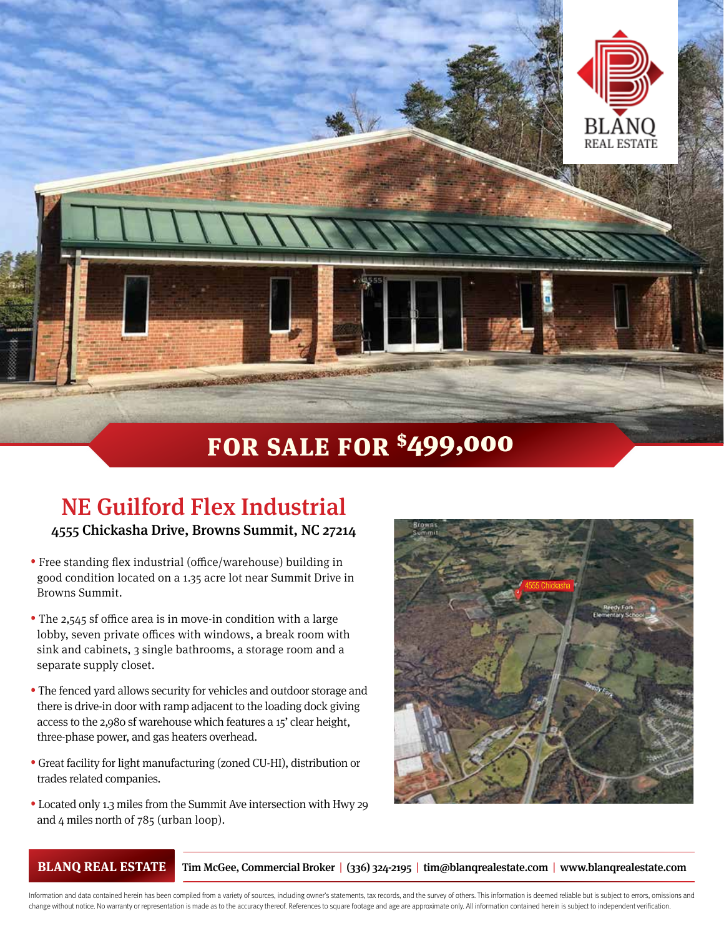

## FOR SALE FOR \$499,000

## NE Guilford Flex Industrial

4555 Chickasha Drive, Browns Summit, NC 27214

- Free standing flex industrial (office/warehouse) building in good condition located on a 1.35 acre lot near Summit Drive in Browns Summit.
- The 2,545 sf office area is in move-in condition with a large lobby, seven private offices with windows, a break room with sink and cabinets, 3 single bathrooms, a storage room and a separate supply closet.
- The fenced yard allows security for vehicles and outdoor storage and there is drive-in door with ramp adjacent to the loading dock giving access to the 2,980 sf warehouse which features a 15' clear height, three-phase power, and gas heaters overhead.
- Great facility for light manufacturing (zoned CU-HI), distribution or trades related companies.
- Located only 1.3 miles from the Summit Ave intersection with Hwy 29 and 4 miles north of 785 (urban loop).



**BLANQ REAL ESTATE** Tim McGee, Commercial Broker | (336) 324-2195 | tim@blanqrealestate.com | www.blanqrealestate.com

Information and data contained herein has been compiled from a variety of sources, including owner's statements, tax records, and the survey of others. This information is deemed reliable but is subject to errors, omission change without notice. No warranty or representation is made as to the accuracy thereof. References to square footage and age are approximate only. All information contained herein is subject to independent verification.